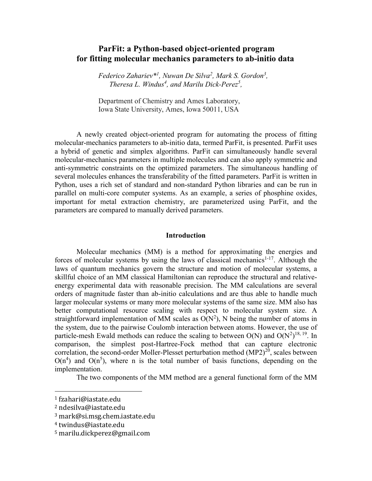# **ParFit: a Python-based object-oriented program for fitting molecular mechanics parameters to ab-initio data**

*Federico Zahariev\* 1 , Nuwan De Silva<sup>2</sup> , Mark S. Gordon<sup>3</sup> , Theresa L. Windus<sup>4</sup> , and Marilu Dick-Perez<sup>5</sup> ,*

Department of Chemistry and Ames Laboratory, Iowa State University, Ames, Iowa 50011, USA

A newly created object-oriented program for automating the process of fitting molecular-mechanics parameters to ab-initio data, termed ParFit, is presented. ParFit uses a hybrid of genetic and simplex algorithms. ParFit can simultaneously handle several molecular-mechanics parameters in multiple molecules and can also apply symmetric and anti-symmetric constraints on the optimized parameters. The simultaneous handling of several molecules enhances the transferability of the fitted parameters. ParFit is written in Python, uses a rich set of standard and non-standard Python libraries and can be run in parallel on multi-core computer systems. As an example, a series of phosphine oxides, important for metal extraction chemistry, are parameterized using ParFit, and the parameters are compared to manually derived parameters.

#### **Introduction**

Molecular mechanics (MM) is a method for approximating the energies and forces of molecular systems by using the laws of classical mechanics $1-17$ . Although the laws of quantum mechanics govern the structure and motion of molecular systems, a skillful choice of an MM classical Hamiltonian can reproduce the structural and relativeenergy experimental data with reasonable precision. The MM calculations are several orders of magnitude faster than ab-initio calculations and are thus able to handle much larger molecular systems or many more molecular systems of the same size. MM also has better computational resource scaling with respect to molecular system size. A straightforward implementation of MM scales as  $O(N^2)$ , N being the number of atoms in the system, due to the pairwise Coulomb interaction between atoms. However, the use of particle-mesh Ewald methods can reduce the scaling to between  $O(N)$  and  $O(N^2)^{18, 19}$ . In comparison, the simplest post-Hartree-Fock method that can capture electronic correlation, the second-order Moller-Plesset perturbation method  $(MP2)^{20}$ , scales between  $O(n<sup>4</sup>)$  and  $O(n<sup>5</sup>)$ , where n is the total number of basis functions, depending on the implementation.

The two components of the MM method are a general functional form of the MM

l

<sup>1</sup> fzahari@iastate.edu

<sup>2</sup> ndesilva@iastate.edu

<sup>3</sup> mark@si.msg.chem.iastate.edu

<sup>4</sup> twindus@iastate.edu

<sup>5</sup> marilu.dickperez@gmail.com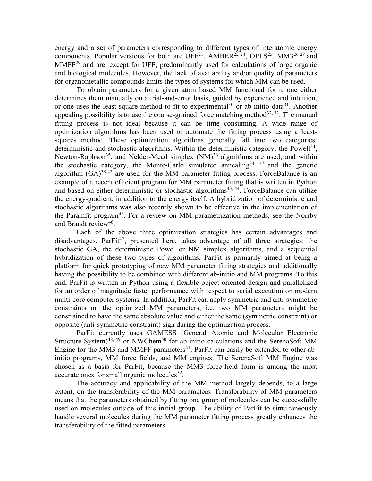energy and a set of parameters corresponding to different types of interatomic energy components. Popular versions for both are  $UFF^{21}$ , AMBER<sup>22-24</sup>, OPLS<sup>25</sup>, MM3<sup>26-28</sup> and  $MMFF<sup>29</sup>$  and are, except for UFF, predominantly used for calculations of large organic and biological molecules. However, the lack of availability and/or quality of parameters for organometallic compounds limits the types of systems for which MM can be used.

To obtain parameters for a given atom based MM functional form, one either determines them manually on a trial-and-error basis, guided by experience and intuition, or one uses the least-square method to fit to experimental<sup>30</sup> or ab-initio data<sup>31</sup>. Another appealing possibility is to use the coarse-grained force matching method<sup>32, 33</sup>. The manual fitting process is not ideal because it can be time consuming. A wide range of optimization algorithms has been used to automate the fitting process using a leastsquares method. These optimization algorithms generally fall into two categories: deterministic and stochastic algorithms. Within the deterministic category; the Powell<sup>34</sup>, Newton-Raphson<sup>35</sup>, and Nelder-Mead simplex  $(NM)^{36}$  algorithms are used; and within the stochastic category, the Monte-Carlo simulated annealing<sup>34, 37</sup> and the genetic algorithm  $(GA)^{38-42}$  are used for the MM parameter fitting process. ForceBalance is an example of a recent efficient program for MM parameter fitting that is written in Python and based on either deterministic or stochastic algorithms<sup>43, 44</sup>. ForceBalance can utilize the energy-gradient, in addition to the energy itself. A hybridization of deterministic and stochastic algorithms was also recently shown to be effective in the implementation of the Paramfit program<sup>45</sup>. For a review on MM parametrization methods, see the Norrby and Brandt review<sup>46</sup>.

Each of the above three optimization strategies has certain advantages and disadvantages. Par $Fit^{47}$ , presented here, takes advantage of all three strategies: the stochastic GA, the deterministic Powel or NM simplex algorithms, and a sequential hybridization of these two types of algorithms. ParFit is primarily aimed at being a platform for quick prototyping of new MM parameter fitting strategies and additionally having the possibility to be combined with different ab-initio and MM programs. To this end, ParFit is written in Python using a flexible object-oriented design and parallelized for an order of magnitude faster performance with respect to serial execution on modern multi-core computer systems. In addition, ParFit can apply symmetric and anti-symmetric constraints on the optimized MM parameters, i.e. two MM parameters might be constrained to have the same absolute value and either the same (symmetric constraint) or opposite (anti-symmetric constraint) sign during the optimization process.

ParFit currently uses GAMESS (General Atomic and Molecular Electronic Structure System)<sup>48, 49</sup> or NWChem<sup>50</sup> for ab-initio calculations and the SerenaSoft MM Engine for the MM3 and MMFF parameters<sup>51</sup>. ParFit can easily be extended to other abinitio programs, MM force fields, and MM engines. The SerenaSoft MM Engine was chosen as a basis for ParFit, because the MM3 force-field form is among the most accurate ones for small organic molecules $52$ .

The accuracy and applicability of the MM method largely depends, to a large extent, on the transferability of the MM parameters. Transferability of MM parameters means that the parameters obtained by fitting one group of molecules can be successfully used on molecules outside of this initial group. The ability of ParFit to simultaneously handle several molecules during the MM parameter fitting process greatly enhances the transferability of the fitted parameters.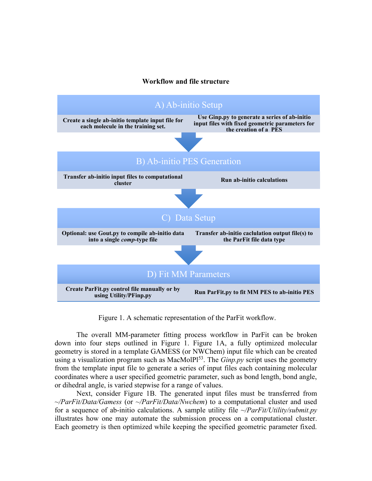# **Workflow and file structure**



Figure 1. A schematic representation of the ParFit workflow.

The overall MM-parameter fitting process workflow in ParFit can be broken down into four steps outlined in Figure 1. Figure 1A, a fully optimized molecular geometry is stored in a template GAMESS (or NWChem) input file which can be created using a visualization program such as MacMolPl<sup>53</sup>. The *Ginp.py* script uses the geometry from the template input file to generate a series of input files each containing molecular coordinates where a user specified geometric parameter, such as bond length, bond angle, or dihedral angle, is varied stepwise for a range of values.

Next, consider Figure 1B. The generated input files must be transferred from *~/ParFit/Data/Gamess* (or *~/ParFit/Data/Nwchem*) to a computational cluster and used for a sequence of ab-initio calculations. A sample utility file *~/ParFit/Utility/submit.py* illustrates how one may automate the submission process on a computational cluster. Each geometry is then optimized while keeping the specified geometric parameter fixed.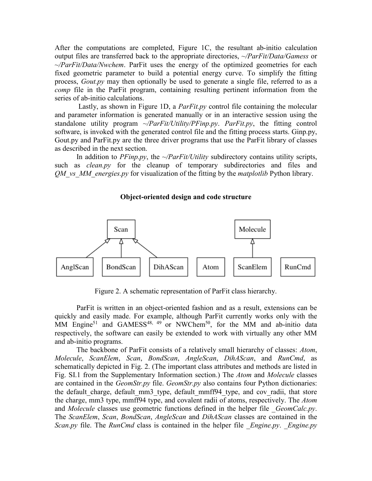After the computations are completed, Figure 1C, the resultant ab-initio calculation output files are transferred back to the appropriate directories, *~/ParFit/Data/Gamess* or *~/ParFit/Data/Nwchem*. ParFit uses the energy of the optimized geometries for each fixed geometric parameter to build a potential energy curve. To simplify the fitting process, *Gout.py* may then optionally be used to generate a single file, referred to as a *comp* file in the ParFit program, containing resulting pertinent information from the series of ab-initio calculations.

Lastly, as shown in Figure 1D, a *ParFit.py* control file containing the molecular and parameter information is generated manually or in an interactive session using the standalone utility program *~/ParFit/Utility/PFinp.py*. *ParFit.py*, the fitting control software, is invoked with the generated control file and the fitting process starts. Ginp.py, Gout.py and ParFit.py are the three driver programs that use the ParFit library of classes as described in the next section.

In addition to *PFinp.py*, the *~/ParFit/Utility* subdirectory contains utility scripts, such as *clean.py* for the cleanup of temporary subdirectories and files and *QM\_vs\_MM\_energies.py* for visualization of the fitting by the *matplotlib* Python library.

# **Object-oriented design and code structure**



Figure 2. A schematic representation of ParFit class hierarchy.

ParFit is written in an object-oriented fashion and as a result, extensions can be quickly and easily made. For example, although ParFit currently works only with the MM Engine<sup>51</sup> and GAMESS<sup>48, 49</sup> or NWChem<sup>50</sup>, for the MM and ab-initio data respectively, the software can easily be extended to work with virtually any other MM and ab-initio programs.

The backbone of ParFit consists of a relatively small hierarchy of classes: *Atom*, *Molecule*, *ScanElem*, *Scan*, *BondScan*, *AngleScan*, *DihAScan*, and *RunCmd*, as schematically depicted in Fig. 2. (The important class attributes and methods are listed in Fig. SI.1 from the Supplementary Information section.) The *Atom* and *Molecule* classes are contained in the *GeomStr.py* file. *GeomStr.py* also contains four Python dictionaries: the default charge, default mm3 type, default mmff94 type, and cov radii, that store the charge, mm3 type, mmff94 type, and covalent radii of atoms, respectively. The *Atom* and *Molecule* classes use geometric functions defined in the helper file *GeomCalc.py*. The *ScanElem*, *Scan*, *BondScan*, *AngleScan* and *DihAScan* classes are contained in the *Scan.py* file. The *RunCmd* class is contained in the helper file *Engine.py*. *Engine.py*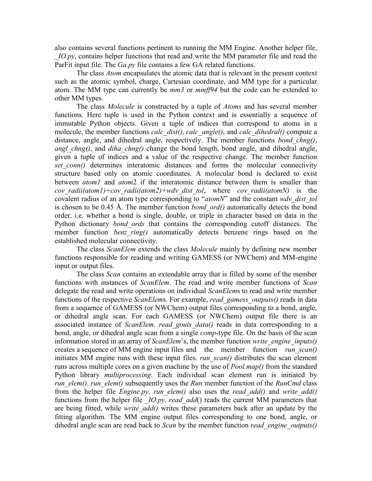also contains several functions pertinent to running the MM Engine. Another helper file, *IO.py*, contains helper functions that read and write the MM parameter file and read the ParFit input file. The *Ga.py* file contains a few GA related functions.

The class *Atom* encapsulates the atomic data that is relevant in the present context such as the atomic symbol, charge, Cartesian coordinate, and MM type for a particular atom. The MM type can currently be *mm3* or *mmff94* but the code can be extended to other MM types.

The class *Molecule* is constructed by a tuple of *Atoms* and has several member functions. Here tuple is used in the Python context and is essentially a sequence of immutable Python objects. Given a tuple of indices that correspond to atoms in a molecule, the member functions *calc\_dist()*, *calc\_angle()*, and *calc\_dihedral()* compute a distance, angle, and dihedral angle, respectively. The member functions *bond\_chng()*, *angl\_chng()*, and *diha\_chng()* change the bond length, bond angle, and dihedral angle, given a tuple of indices and a value of the respective change. The member function *set conn()* determines interatomic distances and forms the molecular connectivity structure based only on atomic coordinates. A molecular bond is declared to exist between *atom1* and *atom*2 if the interatomic distance between them is smaller than *cov\_radii(atom1)+cov\_radii(atom2)+wdv\_dist\_tol*, where *cov\_radii(atomN)* is the covalent radius of an atom type corresponding to "*atomN*" and the constant *wdv\_dist\_tol* is chosen to be 0.45 Å. The member function *bond\_ord()* automatically detects the bond order, i.e. whether a bond is single, double, or triple in character based on data in the Python dictionary *bond\_ords* that contains the corresponding cutoff distances. The member function *benz* ring() automatically detects benzene rings based on the established molecular connectivity.

The class *ScanElem* extends the class *Molecule* mainly by defining new member functions responsible for reading and writing GAMESS (or NWChem) and MM-engine input or output files.

The class *Scan* contains an extendable array that is filled by some of the member functions with instances of *ScanElem*. The read and write member functions of *Scan* delegate the read and write operations on individual *ScanElem*s to read and write member functions of the respective *ScanElem*s. For example, *read\_gamess\_outputs()* reads in data from a sequence of GAMESS (or NWChem) output files corresponding to a bond, angle, or dihedral angle scan. For each GAMESS (or NWChem) output file there is an associated instance of *ScanElem*. *read\_gouts\_data()* reads in data corresponding to a bond, angle, or dihedral angle scan from a single *comp*-type file. On the basis of the scan information stored in an array of *ScanElem*'s, the member function *write\_engine\_inputs()* creates a sequence of MM engine input files and the member function *run\_scan()* initiates MM engine runs with these input files. *run\_scan()* distributes the scan element runs across multiple cores on a given machine by the use of *Pool.map()* from the standard Python library *multiprocessing*. Each individual scan element run is initiated by *run\_elem()*. *run\_elem()* subsequently uses the *Run* member function of the *RunCmd* class from the helper file *Engine.py*. *run\_elem()* also uses the *read\_add()* and *write\_add()* functions from the helper file *IO.py. read add*() reads the current MM parameters that are being fitted, while *write\_add()* writes these parameters back after an update by the fitting algorithm. The MM engine output files corresponding to one bond, angle, or dihedral angle scan are read back to *Scan* by the member function *read\_engine\_outputs()*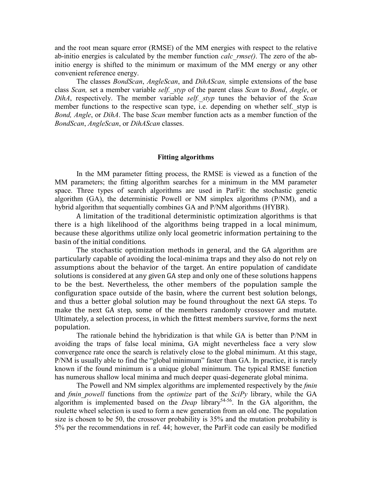and the root mean square error (RMSE) of the MM energies with respect to the relative ab-initio energies is calculated by the member function *calc\_rmse()*. The zero of the abinitio energy is shifted to the minimum or maximum of the MM energy or any other convenient reference energy.

The classes *BondScan*, *AngleScan*, and *DihAScan,* simple extensions of the base class *Scan,* set a member variable *self.\_styp* of the parent class *Scan* to *Bond*, *Angle*, or *DihA*, respectively. The member variable *self.\_styp* tunes the behavior of the *Scan* member functions to the respective scan type, i.e. depending on whether self. styp is *Bond, Angle*, or *DihA*. The base *Scan* member function acts as a member function of the *BondScan*, *AngleScan*, or *DihAScan* classes.

## **Fitting algorithms**

In the MM parameter fitting process, the RMSE is viewed as a function of the MM parameters; the fitting algorithm searches for a minimum in the MM parameter space. Three types of search algorithms are used in ParFit: the stochastic genetic algorithm (GA), the deterministic Powell or NM simplex algorithms (P/NM), and a hybrid algorithm that sequentially combines GA and P/NM algorithms (HYBR).

A limitation of the traditional deterministic optimization algorithms is that there is a high likelihood of the algorithms being trapped in a local minimum, because these algorithms utilize only local geometric information pertaining to the basin of the initial conditions.

The stochastic optimization methods in general, and the GA algorithm are particularly capable of avoiding the local-minima traps and they also do not rely on assumptions about the behavior of the target. An entire population of candidate solutions is considered at any given GA step and only one of these solutions happens to be the best. Nevertheless, the other members of the population sample the configuration space outside of the basin, where the current best solution belongs, and thus a better global solution may be found throughout the next GA steps. To make the next GA step, some of the members randomly crossover and mutate. Ultimately, a selection process, in which the fittest members survive, forms the next population.

The rationale behind the hybridization is that while GA is better than P/NM in avoiding the traps of false local minima, GA might nevertheless face a very slow convergence rate once the search is relatively close to the global minimum. At this stage, P/NM is usually able to find the "global minimum" faster than GA. In practice, it is rarely known if the found minimum is a unique global minimum. The typical RMSE function has numerous shallow local minima and much deeper quasi-degenerate global minima.

The Powell and NM simplex algorithms are implemented respectively by the *fmin* and *fmin\_powell* functions from the *optimize* part of the *SciPy* library, while the GA algorithm is implemented based on the *Deap* library<sup>54-56</sup>. In the GA algorithm, the roulette wheel selection is used to form a new generation from an old one. The population size is chosen to be 50, the crossover probability is 35% and the mutation probability is 5% per the recommendations in ref. 44; however, the ParFit code can easily be modified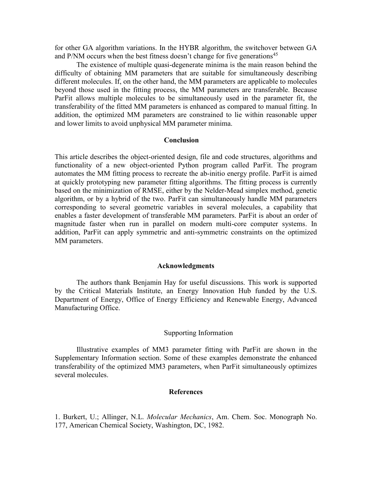for other GA algorithm variations. In the HYBR algorithm, the switchover between GA and P/NM occurs when the best fitness doesn't change for five generations<sup>45</sup>

The existence of multiple quasi-degenerate minima is the main reason behind the difficulty of obtaining MM parameters that are suitable for simultaneously describing different molecules. If, on the other hand, the MM parameters are applicable to molecules beyond those used in the fitting process, the MM parameters are transferable. Because ParFit allows multiple molecules to be simultaneously used in the parameter fit, the transferability of the fitted MM parameters is enhanced as compared to manual fitting. In addition, the optimized MM parameters are constrained to lie within reasonable upper and lower limits to avoid unphysical MM parameter minima.

# **Conclusion**

This article describes the object-oriented design, file and code structures, algorithms and functionality of a new object-oriented Python program called ParFit. The program automates the MM fitting process to recreate the ab-initio energy profile. ParFit is aimed at quickly prototyping new parameter fitting algorithms. The fitting process is currently based on the minimization of RMSE, either by the Nelder-Mead simplex method, genetic algorithm, or by a hybrid of the two. ParFit can simultaneously handle MM parameters corresponding to several geometric variables in several molecules, a capability that enables a faster development of transferable MM parameters. ParFit is about an order of magnitude faster when run in parallel on modern multi-core computer systems. In addition, ParFit can apply symmetric and anti-symmetric constraints on the optimized MM parameters.

#### **Acknowledgments**

The authors thank Benjamin Hay for useful discussions. This work is supported by the Critical Materials Institute, an Energy Innovation Hub funded by the U.S. Department of Energy, Office of Energy Efficiency and Renewable Energy, Advanced Manufacturing Office.

## Supporting Information

Illustrative examples of MM3 parameter fitting with ParFit are shown in the Supplementary Information section. Some of these examples demonstrate the enhanced transferability of the optimized MM3 parameters, when ParFit simultaneously optimizes several molecules.

#### **References**

1. Burkert, U.; Allinger, N.L. *Molecular Mechanics*, Am. Chem. Soc. Monograph No. 177, American Chemical Society, Washington, DC, 1982.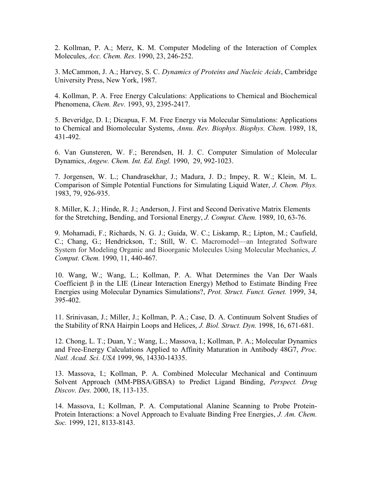2. Kollman, P. A.; Merz, K. M. Computer Modeling of the Interaction of Complex Molecules, *Acc. Chem. Res.* 1990, 23, 246-252.

3. McCammon, J. A.; Harvey, S. C. *Dynamics of Proteins and Nucleic Acids*, Cambridge University Press, New York, 1987.

4. Kollman, P. A. Free Energy Calculations: Applications to Chemical and Biochemical Phenomena, *Chem. Rev.* 1993, 93, 2395-2417.

5. Beveridge, D. I.; Dicapua, F. M. Free Energy via Molecular Simulations: Applications to Chemical and Biomolecular Systems, *Annu. Rev. Biophys. Biophys. Chem.* 1989, 18, 431-492.

6. Van Gunsteren, W. F.; Berendsen, H. J. C. Computer Simulation of Molecular Dynamics, *Angew. Chem. Int. Ed. Engl.* 1990, 29, 992-1023.

7. Jorgensen, W. L.; Chandrasekhar, J.; Madura, J. D.; Impey, R. W.; Klein, M. L. Comparison of Simple Potential Functions for Simulating Liquid Water, *J. Chem. Phys.* 1983, 79, 926-935.

8. Miller, K. J.; Hinde, R. J.; Anderson, J. First and Second Derivative Matrix Elements for the Stretching, Bending, and Torsional Energy, *J. Comput. Chem.* 1989, 10, 63-76.

9. Mohamadi, F.; Richards, N. G. J.; Guida, W. C.; Liskamp, R.; Lipton, M.; Caufield, C.; Chang, G.; Hendrickson, T.; Still, W. C. Macromodel—an Integrated Software System for Modeling Organic and Bioorganic Molecules Using Molecular Mechanics, *J. Comput. Chem.* 1990, 11, 440-467.

10. Wang, W.; Wang, L.; Kollman, P. A. What Determines the Van Der Waals Coefficient β in the LIE (Linear Interaction Energy) Method to Estimate Binding Free Energies using Molecular Dynamics Simulations?, *Prot. Struct. Funct. Genet.* 1999, 34, 395-402.

11. Srinivasan, J.; Miller, J.; Kollman, P. A.; Case, D. A. Continuum Solvent Studies of the Stability of RNA Hairpin Loops and Helices, *J. Biol. Struct. Dyn.* 1998, 16, 671-681.

12. Chong, L. T.; Duan, Y.; Wang, L.; Massova, I.; Kollman, P. A.; Molecular Dynamics and Free-Energy Calculations Applied to Affinity Maturation in Antibody 48G7, *Proc. Natl. Acad. Sci. USA* 1999, 96, 14330-14335.

13. Massova, I.; Kollman, P. A. Combined Molecular Mechanical and Continuum Solvent Approach (MM-PBSA/GBSA) to Predict Ligand Binding, *Perspect. Drug Discov. Des.* 2000, 18, 113-135.

14. Massova, I.; Kollman, P. A. Computational Alanine Scanning to Probe Protein-Protein Interactions: a Novel Approach to Evaluate Binding Free Energies, *J. Am. Chem. Soc.* 1999, 121, 8133-8143.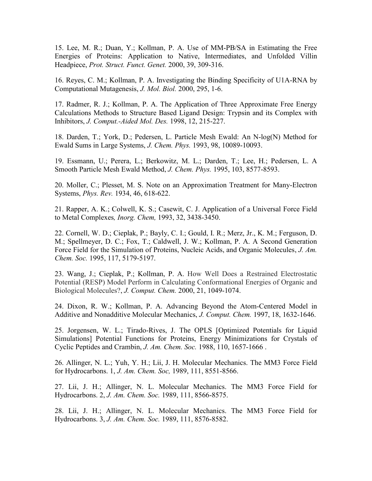15. Lee, M. R.; Duan, Y.; Kollman, P. A. Use of MM-PB/SA in Estimating the Free Energies of Proteins: Application to Native, Intermediates, and Unfolded Villin Headpiece, *Prot. Struct. Funct. Genet.* 2000, 39, 309-316.

16. Reyes, C. M.; Kollman, P. A. Investigating the Binding Specificity of U1A-RNA by Computational Mutagenesis, *J. Mol. Biol.* 2000, 295, 1-6.

17. Radmer, R. J.; Kollman, P. A. The Application of Three Approximate Free Energy Calculations Methods to Structure Based Ligand Design: Trypsin and its Complex with Inhibitors, *J. Comput.-Aided Mol. Des.* 1998, 12, 215-227.

18. Darden, T.; York, D.; Pedersen, L. Particle Mesh Ewald: An N-log(N) Method for Ewald Sums in Large Systems, *J. Chem. Phys.* 1993, 98, 10089-10093.

19. Essmann, U.; Perera, L.; Berkowitz, M. L.; Darden, T.; Lee, H.; Pedersen, L. A Smooth Particle Mesh Ewald Method, *J. Chem. Phys.* 1995, 103, 8577-8593.

20. Moller, C.; Plesset, M. S. Note on an Approximation Treatment for Many-Electron Systems, *Phys. Rev.* 1934, 46, 618-622.

21. Rapper, A. K.; Colwell, K. S.; Casewit, C. J. Application of a Universal Force Field to Metal Complexes*, Inorg. Chem,* 1993, 32, 3438-3450.

22. Cornell, W. D.; Cieplak, P.; Bayly, C. I.; Gould, I. R.; Merz, Jr., K. M.; Ferguson, D. M.; Spellmeyer, D. C.; Fox, T.; Caldwell, J. W.; Kollman, P. A. A Second Generation Force Field for the Simulation of Proteins, Nucleic Acids, and Organic Molecules, *J. Am. Chem. Soc.* 1995, 117, 5179-5197.

23. Wang, J.; Cieplak, P.; Kollman, P. A. How Well Does a Restrained Electrostatic Potential (RESP) Model Perform in Calculating Conformational Energies of Organic and Biological Molecules?, *J. Comput. Chem.* 2000, 21, 1049-1074.

24. Dixon, R. W.; Kollman, P. A. Advancing Beyond the Atom-Centered Model in Additive and Nonadditive Molecular Mechanics, *J. Comput. Chem.* 1997, 18, 1632-1646.

25. Jorgensen, W. L.; Tirado-Rives, J. The OPLS [Optimized Potentials for Liquid Simulations] Potential Functions for Proteins, Energy Minimizations for Crystals of Cyclic Peptides and Crambin, *J. Am. Chem. Soc.* 1988, 110, 1657-1666 .

26. Allinger, N. L.; Yuh, Y. H.; Lii, J. H. Molecular Mechanics. The MM3 Force Field for Hydrocarbons. 1, *J. Am. Chem. Soc,* 1989, 111, 8551-8566.

27. Lii, J. H.; Allinger, N. L. Molecular Mechanics. The MM3 Force Field for Hydrocarbons. 2, *J. Am. Chem. Soc.* 1989, 111, 8566-8575.

28. Lii, J. H.; Allinger, N. L. Molecular Mechanics. The MM3 Force Field for Hydrocarbons. 3, *J. Am. Chem. Soc.* 1989, 111, 8576-8582.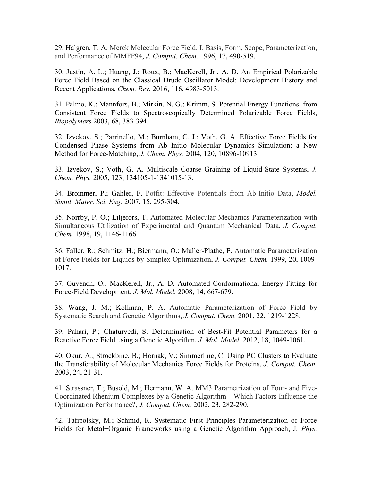29. Halgren, T. A. Merck Molecular Force Field. I. Basis, Form, Scope, Parameterization, and Performance of MMFF94, *J. Comput. Chem.* 1996, 17, 490-519.

30. Justin, A. L.; Huang, J.; Roux, B.; MacKerell, Jr., A. D. An Empirical Polarizable Force Field Based on the Classical Drude Oscillator Model: Development History and Recent Applications, *Chem. Rev.* 2016, 116, 4983-5013.

31. Palmo, K.; Mannfors, B.; Mirkin, N. G.; Krimm, S. Potential Energy Functions: from Consistent Force Fields to Spectroscopically Determined Polarizable Force Fields, *Biopolymers* 2003, 68, 383-394.

32. Izvekov, S.; Parrinello, M.; Burnham, C. J.; Voth, G. A. Effective Force Fields for Condensed Phase Systems from Ab Initio Molecular Dynamics Simulation: a New Method for Force-Matching, *J. Chem. Phys.* 2004, 120, 10896-10913.

33. Izvekov, S.; Voth, G. A. Multiscale Coarse Graining of Liquid-State Systems, *J. Chem. Phys.* 2005, 123, 134105-1-1341015-13.

34. Brommer, P.; Gahler, F. Potfit: Effective Potentials from Ab-Initio Data, *Model. Simul. Mater. Sci. Eng.* 2007, 15, 295-304.

35. Norrby, P. O.; Liljefors, T. Automated Molecular Mechanics Parameterization with Simultaneous Utilization of Experimental and Quantum Mechanical Data, *J. Comput. Chem.* 1998, 19, 1146-1166.

36. Faller, R.; Schmitz, H.; Biermann, O.; Muller-Plathe, F. Automatic Parameterization of Force Fields for Liquids by Simplex Optimization, *J. Comput. Chem.* 1999, 20, 1009- 1017.

37. Guvench, O.; MacKerell, Jr., A. D. Automated Conformational Energy Fitting for Force-Field Development, *J. Mol. Model.* 2008, 14, 667-679.

38. Wang, J. M.; Kollman, P. A. Automatic Parameterization of Force Field by Systematic Search and Genetic Algorithms, *J. Comput. Chem.* 2001, 22, 1219-1228.

39. Pahari, P.; Chaturvedi, S. Determination of Best-Fit Potential Parameters for a Reactive Force Field using a Genetic Algorithm, *J. Mol. Model.* 2012, 18, 1049-1061.

40. Okur, A.; Strockbine, B.; Hornak, V.; Simmerling, C. Using PC Clusters to Evaluate the Transferability of Molecular Mechanics Force Fields for Proteins, *J. Comput. Chem.* 2003, 24, 21-31.

41. Strassner, T.; Busold, M.; Hermann, W. A. MM3 Parametrization of Four- and Five-Coordinated Rhenium Complexes by a Genetic Algorithm—Which Factors Influence the Optimization Performance?, *J. Comput. Chem.* 2002, 23, 282-290.

42. Tafipolsky, M.; Schmid, R. Systematic First Principles Parameterization of Force Fields for Metal−Organic Frameworks using a Genetic Algorithm Approach, J*. Phys.*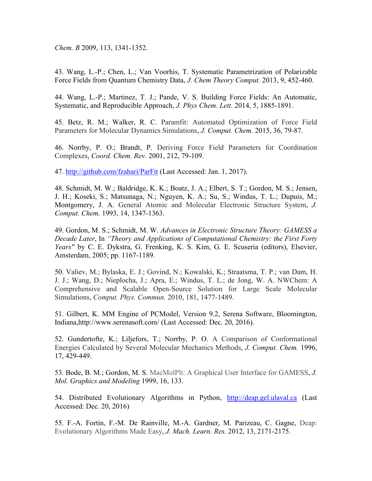*Chem. B* 2009, 113, 1341-1352.

43. Wang, L.-P.; Chen, L.; Van Voorhis, T. Systematic Parametrization of Polarizable Force Fields from Quantum Chemistry Data, *J. Chem Theory Comput.* 2013, 9, 452-460.

44. Wang, L.-P.; Martinez, T. J.; Pande, V. S. Building Force Fields: An Automatic, Systematic, and Reproducible Approach, *J. Phys Chem. Lett*. 2014, 5, 1885-1891.

45. Betz, R. M.; Walker, R. C. Paramfit: Automated Optimization of Force Field Parameters for Molecular Dynamics Simulations, *J. Comput. Chem.* 2015, 36, 79-87.

46. Norrby, P. O.; Brandt, P. Deriving Force Field Parameters for Coordination Complexes, *Coord. Chem. Rev.* 2001, 212, 79-109.

47.<http://github.com/fzahari/ParFit> (Last Accessed: Jan. 1, 2017).

48. Schmidt, M. W.; Baldridge, K. K.; Boatz, J. A.; Elbert, S. T.; Gordon, M. S.; Jensen, J. H.; Koseki, S.; Matsunaga, N.; Nguyen, K. A.; Su, S.; Windus, T. L.; Dupuis, M.; Montgomery, J. A. General Atomic and Molecular Electronic Structure System, *J. Comput. Chem.* 1993, 14, 1347-1363.

49. Gordon, M. S.; Schmidt, M. W. *Advances in Electronic Structure Theory: GAMESS a Decade Later*, In *"Theory and Applications of Computational Chemistry: the First Forty Years"* by C. E. Dykstra, G. Frenking, K. S. Kim, G. E. Scuseria (editors), Elsevier, Amsterdam, 2005; pp. 1167-1189.

50. Valiev, M.; Bylaska, E. J.; Govind, N.; Kowalski, K.; Straatsma, T. P.; van Dam, H. J. J.; Wang, D.; Nieplocha, J.; Apra, E.; Windus, T. L.; de Jong, W. A. NWChem: A Comprehensive and Scalable Open-Source Solution for Large Scale Molecular Simulations, *Comput. Phys. Commun.* 2010, 181, 1477-1489.

51. Gilbert, K. MM Engine of PCModel, Version 9.2, Serena Software, Bloomington, Indiana,http://www.serenasoft.com/ (Last Accessed: Dec. 20, 2016).

52. Gundertofte, K.; Liljefors, T.; Norrby, P. O. A Comparison of Conformational Energies Calculated by Several Molecular Mechanics Methods, *J. Comput. Chem.* 1996, 17, 429-449.

53. Bode, B. M.; Gordon, M. S. MacMolPlt: A Graphical User Interface for GAMESS, *J. Mol. Graphics and Modeling* 1999, 16, 133.

54. Distributed Evolutionary Algorithms in Python, [http://deap.gel.ulaval.ca](http://deap.gel.ulaval.ca/) (Last Accessed: Dec. 20, 2016)

55. F.-A. Fortin, F.-M. De Rainville, M.-A. Gardner, M. Parizeau, C. Gagne, Deap: Evolutionary Algorithms Made Easy, *J. Mach. Learn. Res.* 2012, 13, 2171-2175.